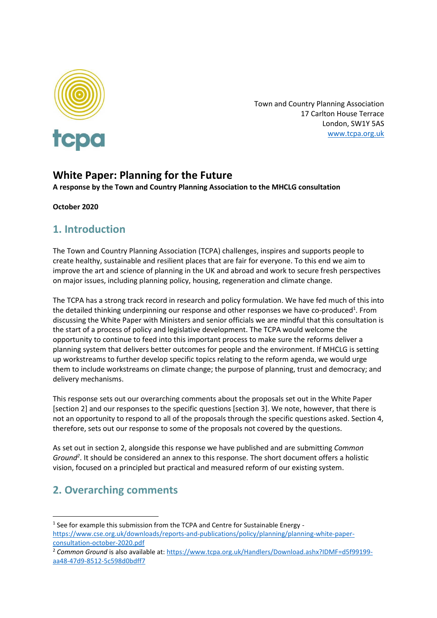

Town and Country Planning Association 17 Carlton House Terrace London, SW1Y 5AS [www.tcpa.org.uk](http://www.tcpa.org.uk/)

### **White Paper: Planning for the Future**

**A response by the Town and Country Planning Association to the MHCLG consultation**

**October 2020**

### **1. Introduction**

The Town and Country Planning Association (TCPA) challenges, inspires and supports people to create healthy, sustainable and resilient places that are fair for everyone. To this end we aim to improve the art and science of planning in the UK and abroad and work to secure fresh perspectives on major issues, including planning policy, housing, regeneration and climate change.

The TCPA has a strong track record in research and policy formulation. We have fed much of this into the detailed thinking underpinning our response and other responses we have co-produced<sup>1</sup>. From discussing the White Paper with Ministers and senior officials we are mindful that this consultation is the start of a process of policy and legislative development. The TCPA would welcome the opportunity to continue to feed into this important process to make sure the reforms deliver a planning system that delivers better outcomes for people and the environment. If MHCLG is setting up workstreams to further develop specific topics relating to the reform agenda, we would urge them to include workstreams on climate change; the purpose of planning, trust and democracy; and delivery mechanisms.

This response sets out our overarching comments about the proposals set out in the White Paper [section 2] and our responses to the specific questions [section 3]. We note, however, that there is not an opportunity to respond to all of the proposals through the specific questions asked. Section 4, therefore, sets out our response to some of the proposals not covered by the questions.

As set out in section 2, alongside this response we have published and are submitting *Common Ground<sup>2</sup>* . It should be considered an annex to this response. The short document offers a holistic vision, focused on a principled but practical and measured reform of our existing system.

# **2. Overarching comments**

<sup>2</sup> *Common Ground* is also available at: [https://www.tcpa.org.uk/Handlers/Download.ashx?IDMF=d5f99199](https://www.tcpa.org.uk/Handlers/Download.ashx?IDMF=d5f99199-aa48-47d9-8512-5c598d0bdff7) [aa48-47d9-8512-5c598d0bdff7](https://www.tcpa.org.uk/Handlers/Download.ashx?IDMF=d5f99199-aa48-47d9-8512-5c598d0bdff7)

<sup>&</sup>lt;sup>1</sup> See for example this submission from the TCPA and Centre for Sustainable Energy -

[https://www.cse.org.uk/downloads/reports-and-publications/policy/planning/planning-white-paper](https://www.cse.org.uk/downloads/reports-and-publications/policy/planning/planning-white-paper-consultation-october-2020.pdf)[consultation-october-2020.pdf](https://www.cse.org.uk/downloads/reports-and-publications/policy/planning/planning-white-paper-consultation-october-2020.pdf)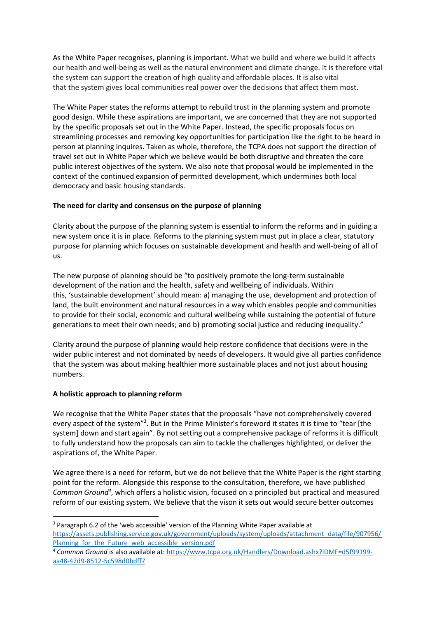As the White Paper recognises, planning is important. What we build and where we build it affects our health and well-being as well as the natural environment and climate change. It is therefore vital the system can support the creation of high quality and affordable places. It is also vital that the system gives local communities real power over the decisions that affect them most.

The White Paper states the reforms attempt to rebuild trust in the planning system and promote good design. While these aspirations are important, we are concerned that they are not supported by the specific proposals set out in the White Paper. Instead, the specific proposals focus on streamlining processes and removing key opportunities for participation like the right to be heard in person at planning inquires. Taken as whole, therefore, the TCPA does not support the direction of travel set out in White Paper which we believe would be both disruptive and threaten the core public interest objectives of the system. We also note that proposal would be implemented in the context of the continued expansion of permitted development, which undermines both local democracy and basic housing standards.

#### **The need for clarity and consensus on the purpose of planning**

Clarity about the purpose of the planning system is essential to inform the reforms and in guiding a new system once it is in place. Reforms to the planning system must put in place a clear, statutory purpose for planning which focuses on sustainable development and health and well-being of all of us.

The new purpose of planning should be "to positively promote the long-term sustainable development of the nation and the health, safety and wellbeing of individuals. Within this, 'sustainable development' should mean: a) managing the use, development and protection of land, the built environment and natural resources in a way which enables people and communities to provide for their social, economic and cultural wellbeing while sustaining the potential of future generations to meet their own needs; and b) promoting social justice and reducing inequality." 

Clarity around the purpose of planning would help restore confidence that decisions were in the wider public interest and not dominated by needs of developers. It would give all parties confidence that the system was about making healthier more sustainable places and not just about housing numbers.

#### **A holistic approach to planning reform**

We recognise that the White Paper states that the proposals "have not comprehensively covered every aspect of the system"<sup>3</sup>. But in the Prime Minister's foreword it states it is time to "tear [the system] down and start again". By not setting out a comprehensive package of reforms it is difficult to fully understand how the proposals can aim to tackle the challenges highlighted, or deliver the aspirations of, the White Paper.

We agree there is a need for reform, but we do not believe that the White Paper is the right starting point for the reform. Alongside this response to the consultation, therefore, we have published *Common Ground<sup>4</sup>* , which offers a holistic vision, focused on a principled but practical and measured reform of our existing system. We believe that the vison it sets out would secure better outcomes

<sup>3</sup> Paragraph 6.2 of the 'web accessible' version of the Planning White Paper available at [https://assets.publishing.service.gov.uk/government/uploads/system/uploads/attachment\\_data/file/907956/](https://assets.publishing.service.gov.uk/government/uploads/system/uploads/attachment_data/file/907956/Planning_for_the_Future_web_accessible_version.pdf) Planning for the Future web accessible version.pdf

<sup>4</sup> *Common Ground* is also available at: [https://www.tcpa.org.uk/Handlers/Download.ashx?IDMF=d5f99199](https://www.tcpa.org.uk/Handlers/Download.ashx?IDMF=d5f99199-aa48-47d9-8512-5c598d0bdff7) [aa48-47d9-8512-5c598d0bdff7](https://www.tcpa.org.uk/Handlers/Download.ashx?IDMF=d5f99199-aa48-47d9-8512-5c598d0bdff7)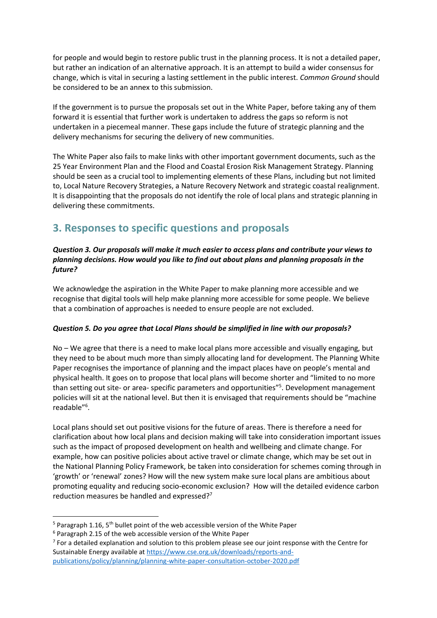for people and would begin to restore public trust in the planning process. It is not a detailed paper, but rather an indication of an alternative approach. It is an attempt to build a wider consensus for change, which is vital in securing a lasting settlement in the public interest. *Common Ground* should be considered to be an annex to this submission.

If the government is to pursue the proposals set out in the White Paper, before taking any of them forward it is essential that further work is undertaken to address the gaps so reform is not undertaken in a piecemeal manner. These gaps include the future of strategic planning and the delivery mechanisms for securing the delivery of new communities.

The White Paper also fails to make links with other important government documents, such as the 25 Year Environment Plan and the Flood and Coastal Erosion Risk Management Strategy. Planning should be seen as a crucial tool to implementing elements of these Plans, including but not limited to, Local Nature Recovery Strategies, a Nature Recovery Network and strategic coastal realignment. It is disappointing that the proposals do not identify the role of local plans and strategic planning in delivering these commitments.

## **3. Responses to specific questions and proposals**

#### *Question 3. Our proposals will make it much easier to access plans and contribute your views to planning decisions. How would you like to find out about plans and planning proposals in the future?*

We acknowledge the aspiration in the White Paper to make planning more accessible and we recognise that digital tools will help make planning more accessible for some people. We believe that a combination of approaches is needed to ensure people are not excluded.

#### *Question 5. Do you agree that Local Plans should be simplified in line with our proposals?*

No – We agree that there is a need to make local plans more accessible and visually engaging, but they need to be about much more than simply allocating land for development. The Planning White Paper recognises the importance of planning and the impact places have on people's mental and physical health. It goes on to propose that local plans will become shorter and "limited to no more than setting out site- or area- specific parameters and opportunities"<sup>5</sup>. Development management policies will sit at the national level. But then it is envisaged that requirements should be "machine readable"<sup>6</sup> .

Local plans should set out positive visions for the future of areas. There is therefore a need for clarification about how local plans and decision making will take into consideration important issues such as the impact of proposed development on health and wellbeing and climate change. For example, how can positive policies about active travel or climate change, which may be set out in the National Planning Policy Framework, be taken into consideration for schemes coming through in 'growth' or 'renewal' zones? How will the new system make sure local plans are ambitious about promoting equality and reducing socio-economic exclusion? How will the detailed evidence carbon reduction measures be handled and expressed?<sup>7</sup>

 $5$  Paragraph 1.16, 5<sup>th</sup> bullet point of the web accessible version of the White Paper

<sup>6</sup> Paragraph 2.15 of the web accessible version of the White Paper

 $<sup>7</sup>$  For a detailed explanation and solution to this problem please see our joint response with the Centre for</sup> Sustainable Energy available at [https://www.cse.org.uk/downloads/reports-and](https://www.cse.org.uk/downloads/reports-and-publications/policy/planning/planning-white-paper-consultation-october-2020.pdf)[publications/policy/planning/planning-white-paper-consultation-october-2020.pdf](https://www.cse.org.uk/downloads/reports-and-publications/policy/planning/planning-white-paper-consultation-october-2020.pdf)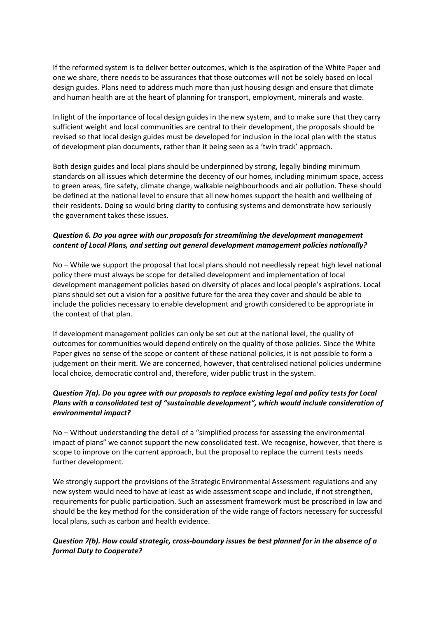If the reformed system is to deliver better outcomes, which is the aspiration of the White Paper and one we share, there needs to be assurances that those outcomes will not be solely based on local design guides. Plans need to address much more than just housing design and ensure that climate and human health are at the heart of planning for transport, employment, minerals and waste.

In light of the importance of local design guides in the new system, and to make sure that they carry sufficient weight and local communities are central to their development, the proposals should be revised so that local design guides must be developed for inclusion in the local plan with the status of development plan documents, rather than it being seen as a 'twin track' approach.

Both design guides and local plans should be underpinned by strong, legally binding minimum standards on all issues which determine the decency of our homes, including minimum space, access to green areas, fire safety, climate change, walkable neighbourhoods and air pollution. These should be defined at the national level to ensure that all new homes support the health and wellbeing of their residents. Doing so would bring clarity to confusing systems and demonstrate how seriously the government takes these issues.

#### *Question 6. Do you agree with our proposals for streamlining the development management content of Local Plans, and setting out general development management policies nationally?*

No – While we support the proposal that local plans should not needlessly repeat high level national policy there must always be scope for detailed development and implementation of local development management policies based on diversity of places and local people's aspirations. Local plans should set out a vision for a positive future for the area they cover and should be able to include the policies necessary to enable development and growth considered to be appropriate in the context of that plan.

If development management policies can only be set out at the national level, the quality of outcomes for communities would depend entirely on the quality of those policies. Since the White Paper gives no sense of the scope or content of these national policies, it is not possible to form a judgement on their merit. We are concerned, however, that centralised national policies undermine local choice, democratic control and, therefore, wider public trust in the system.

#### *Question 7(a). Do you agree with our proposals to replace existing legal and policy tests for Local Plans with a consolidated test of "sustainable development", which would include consideration of environmental impact?*

No – Without understanding the detail of a "simplified process for assessing the environmental impact of plans" we cannot support the new consolidated test. We recognise, however, that there is scope to improve on the current approach, but the proposal to replace the current tests needs further development.

We strongly support the provisions of the Strategic Environmental Assessment regulations and any new system would need to have at least as wide assessment scope and include, if not strengthen, requirements for public participation. Such an assessment framework must be proscribed in law and should be the key method for the consideration of the wide range of factors necessary for successful local plans, such as carbon and health evidence.

#### *Question 7(b). How could strategic, cross-boundary issues be best planned for in the absence of a formal Duty to Cooperate?*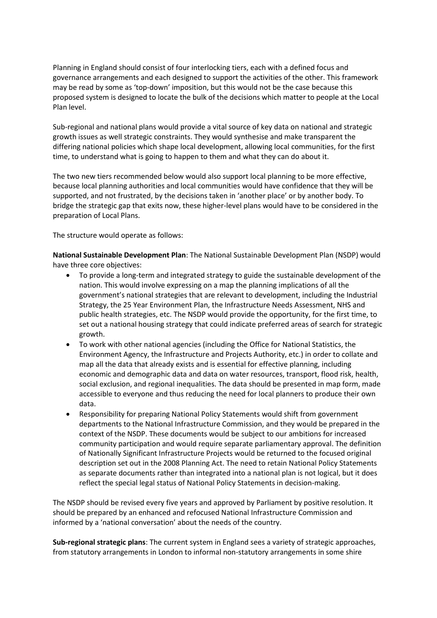Planning in England should consist of four interlocking tiers, each with a defined focus and governance arrangements and each designed to support the activities of the other. This framework may be read by some as 'top-down' imposition, but this would not be the case because this proposed system is designed to locate the bulk of the decisions which matter to people at the Local Plan level.

Sub-regional and national plans would provide a vital source of key data on national and strategic growth issues as well strategic constraints. They would synthesise and make transparent the differing national policies which shape local development, allowing local communities, for the first time, to understand what is going to happen to them and what they can do about it.

The two new tiers recommended below would also support local planning to be more effective, because local planning authorities and local communities would have confidence that they will be supported, and not frustrated, by the decisions taken in 'another place' or by another body. To bridge the strategic gap that exits now, these higher-level plans would have to be considered in the preparation of Local Plans.

The structure would operate as follows:

**National Sustainable Development Plan**: The National Sustainable Development Plan (NSDP) would have three core objectives:

- To provide a long-term and integrated strategy to guide the sustainable development of the nation. This would involve expressing on a map the planning implications of all the government's national strategies that are relevant to development, including the Industrial Strategy, the 25 Year Environment Plan, the Infrastructure Needs Assessment, NHS and public health strategies, etc. The NSDP would provide the opportunity, for the first time, to set out a national housing strategy that could indicate preferred areas of search for strategic growth.
- To work with other national agencies (including the Office for National Statistics, the Environment Agency, the Infrastructure and Projects Authority, etc.) in order to collate and map all the data that already exists and is essential for effective planning, including economic and demographic data and data on water resources, transport, flood risk, health, social exclusion, and regional inequalities. The data should be presented in map form, made accessible to everyone and thus reducing the need for local planners to produce their own data.
- Responsibility for preparing National Policy Statements would shift from government departments to the National Infrastructure Commission, and they would be prepared in the context of the NSDP. These documents would be subject to our ambitions for increased community participation and would require separate parliamentary approval. The definition of Nationally Significant Infrastructure Projects would be returned to the focused original description set out in the 2008 Planning Act. The need to retain National Policy Statements as separate documents rather than integrated into a national plan is not logical, but it does reflect the special legal status of National Policy Statements in decision-making.

The NSDP should be revised every five years and approved by Parliament by positive resolution. It should be prepared by an enhanced and refocused National Infrastructure Commission and informed by a 'national conversation' about the needs of the country.

**Sub-regional strategic plans**: The current system in England sees a variety of strategic approaches, from statutory arrangements in London to informal non-statutory arrangements in some shire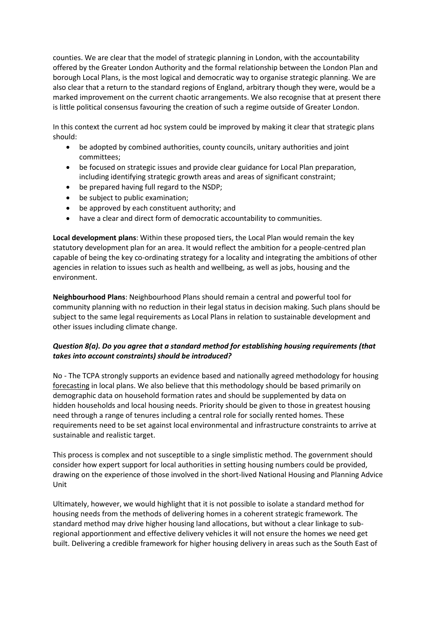counties. We are clear that the model of strategic planning in London, with the accountability offered by the Greater London Authority and the formal relationship between the London Plan and borough Local Plans, is the most logical and democratic way to organise strategic planning. We are also clear that a return to the standard regions of England, arbitrary though they were, would be a marked improvement on the current chaotic arrangements. We also recognise that at present there is little political consensus favouring the creation of such a regime outside of Greater London.

In this context the current ad hoc system could be improved by making it clear that strategic plans should:

- be adopted by combined authorities, county councils, unitary authorities and joint committees;
- be focused on strategic issues and provide clear guidance for Local Plan preparation, including identifying strategic growth areas and areas of significant constraint;
- be prepared having full regard to the NSDP;
- be subject to public examination;
- be approved by each constituent authority; and
- have a clear and direct form of democratic accountability to communities.

**Local development plans**: Within these proposed tiers, the Local Plan would remain the key statutory development plan for an area. It would reflect the ambition for a people-centred plan capable of being the key co-ordinating strategy for a locality and integrating the ambitions of other agencies in relation to issues such as health and wellbeing, as well as jobs, housing and the environment.

**Neighbourhood Plans**: Neighbourhood Plans should remain a central and powerful tool for community planning with no reduction in their legal status in decision making. Such plans should be subject to the same legal requirements as Local Plans in relation to sustainable development and other issues including climate change.

#### *Question 8(a). Do you agree that a standard method for establishing housing requirements (that takes into account constraints) should be introduced?*

No - The TCPA strongly supports an evidence based and nationally agreed methodology for housing forecasting in local plans. We also believe that this methodology should be based primarily on demographic data on household formation rates and should be supplemented by data on hidden households and local housing needs. Priority should be given to those in greatest housing need through a range of tenures including a central role for socially rented homes. These requirements need to be set against local environmental and infrastructure constraints to arrive at sustainable and realistic target.

This process is complex and not susceptible to a single simplistic method. The government should consider how expert support for local authorities in setting housing numbers could be provided, drawing on the experience of those involved in the short-lived National Housing and Planning Advice Unit

Ultimately, however, we would highlight that it is not possible to isolate a standard method for housing needs from the methods of delivering homes in a coherent strategic framework. The standard method may drive higher housing land allocations, but without a clear linkage to subregional apportionment and effective delivery vehicles it will not ensure the homes we need get built. Delivering a credible framework for higher housing delivery in areas such as the South East of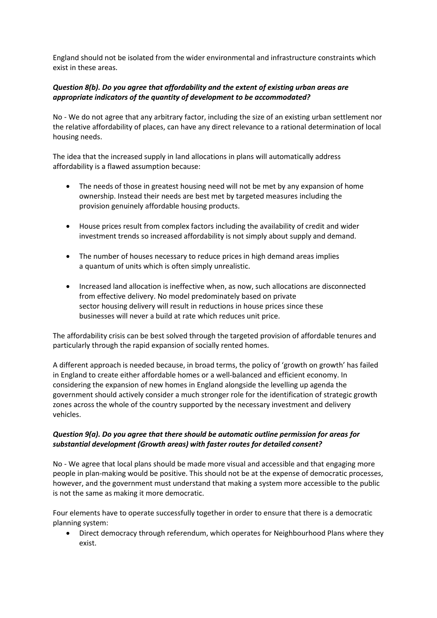England should not be isolated from the wider environmental and infrastructure constraints which exist in these areas.

### *Question 8(b). Do you agree that affordability and the extent of existing urban areas are appropriate indicators of the quantity of development to be accommodated?*

No - We do not agree that any arbitrary factor, including the size of an existing urban settlement nor the relative affordability of places, can have any direct relevance to a rational determination of local housing needs.

The idea that the increased supply in land allocations in plans will automatically address affordability is a flawed assumption because:

- The needs of those in greatest housing need will not be met by any expansion of home ownership. Instead their needs are best met by targeted measures including the provision genuinely affordable housing products.
- House prices result from complex factors including the availability of credit and wider investment trends so increased affordability is not simply about supply and demand.
- The number of houses necessary to reduce prices in high demand areas implies a quantum of units which is often simply unrealistic.
- Increased land allocation is ineffective when, as now, such allocations are disconnected from effective delivery. No model predominately based on private sector housing delivery will result in reductions in house prices since these businesses will never a build at rate which reduces unit price.

The affordability crisis can be best solved through the targeted provision of affordable tenures and particularly through the rapid expansion of socially rented homes.

A different approach is needed because, in broad terms, the policy of 'growth on growth' has failed in England to create either affordable homes or a well-balanced and efficient economy. In considering the expansion of new homes in England alongside the levelling up agenda the government should actively consider a much stronger role for the identification of strategic growth zones across the whole of the country supported by the necessary investment and delivery vehicles.

#### *Question 9(a). Do you agree that there should be automatic outline permission for areas for substantial development (Growth areas) with faster routes for detailed consent?*

No - We agree that local plans should be made more visual and accessible and that engaging more people in plan-making would be positive. This should not be at the expense of democratic processes, however, and the government must understand that making a system more accessible to the public is not the same as making it more democratic.

Four elements have to operate successfully together in order to ensure that there is a democratic planning system:

• Direct democracy through referendum, which operates for Neighbourhood Plans where they exist.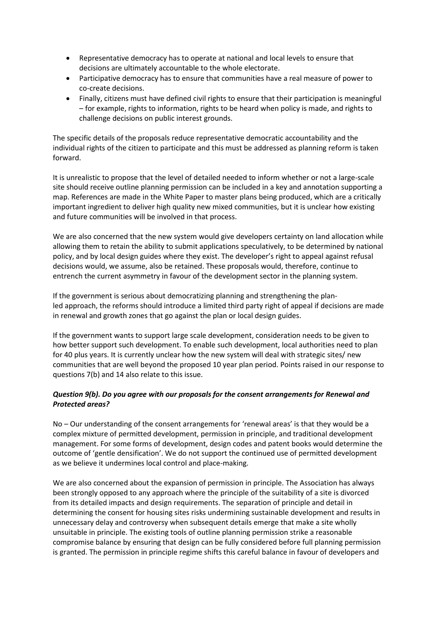- Representative democracy has to operate at national and local levels to ensure that decisions are ultimately accountable to the whole electorate.
- Participative democracy has to ensure that communities have a real measure of power to co-create decisions.
- Finally, citizens must have defined civil rights to ensure that their participation is meaningful – for example, rights to information, rights to be heard when policy is made, and rights to challenge decisions on public interest grounds.

The specific details of the proposals reduce representative democratic accountability and the individual rights of the citizen to participate and this must be addressed as planning reform is taken forward.

It is unrealistic to propose that the level of detailed needed to inform whether or not a large-scale site should receive outline planning permission can be included in a key and annotation supporting a map. References are made in the White Paper to master plans being produced, which are a critically important ingredient to deliver high quality new mixed communities, but it is unclear how existing and future communities will be involved in that process.

We are also concerned that the new system would give developers certainty on land allocation while allowing them to retain the ability to submit applications speculatively, to be determined by national policy, and by local design guides where they exist. The developer's right to appeal against refusal decisions would, we assume, also be retained. These proposals would, therefore, continue to entrench the current asymmetry in favour of the development sector in the planning system.

If the government is serious about democratizing planning and strengthening the planled approach, the reforms should introduce a limited third party right of appeal if decisions are made in renewal and growth zones that go against the plan or local design guides.

If the government wants to support large scale development, consideration needs to be given to how better support such development. To enable such development, local authorities need to plan for 40 plus years. It is currently unclear how the new system will deal with strategic sites/ new communities that are well beyond the proposed 10 year plan period. Points raised in our response to questions 7(b) and 14 also relate to this issue.

#### *Question 9(b). Do you agree with our proposals for the consent arrangements for Renewal and Protected areas?*

No – Our understanding of the consent arrangements for 'renewal areas' is that they would be a complex mixture of permitted development, permission in principle, and traditional development management. For some forms of development, design codes and patent books would determine the outcome of 'gentle densification'. We do not support the continued use of permitted development as we believe it undermines local control and place-making.

We are also concerned about the expansion of permission in principle. The Association has always been strongly opposed to any approach where the principle of the suitability of a site is divorced from its detailed impacts and design requirements. The separation of principle and detail in determining the consent for housing sites risks undermining sustainable development and results in unnecessary delay and controversy when subsequent details emerge that make a site wholly unsuitable in principle. The existing tools of outline planning permission strike a reasonable compromise balance by ensuring that design can be fully considered before full planning permission is granted. The permission in principle regime shifts this careful balance in favour of developers and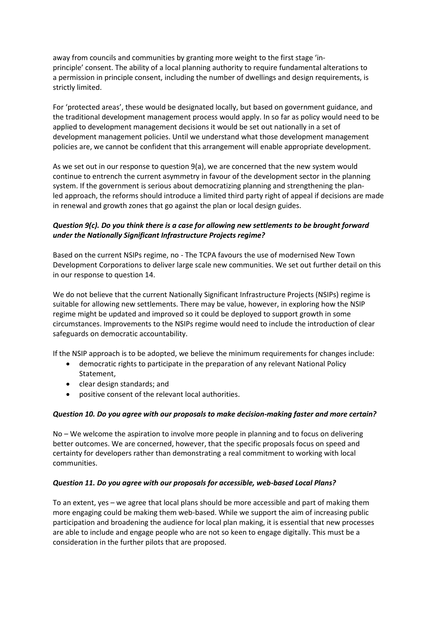away from councils and communities by granting more weight to the first stage 'inprinciple' consent. The ability of a local planning authority to require fundamental alterations to a permission in principle consent, including the number of dwellings and design requirements, is strictly limited.

For 'protected areas', these would be designated locally, but based on government guidance, and the traditional development management process would apply. In so far as policy would need to be applied to development management decisions it would be set out nationally in a set of development management policies. Until we understand what those development management policies are, we cannot be confident that this arrangement will enable appropriate development.

As we set out in our response to question 9(a), we are concerned that the new system would continue to entrench the current asymmetry in favour of the development sector in the planning system. If the government is serious about democratizing planning and strengthening the planled approach, the reforms should introduce a limited third party right of appeal if decisions are made in renewal and growth zones that go against the plan or local design guides.

#### *Question 9(c). Do you think there is a case for allowing new settlements to be brought forward under the Nationally Significant Infrastructure Projects regime?*

Based on the current NSIPs regime, no - The TCPA favours the use of modernised New Town Development Corporations to deliver large scale new communities. We set out further detail on this in our response to question 14.

We do not believe that the current Nationally Significant Infrastructure Projects (NSIPs) regime is suitable for allowing new settlements. There may be value, however, in exploring how the NSIP regime might be updated and improved so it could be deployed to support growth in some circumstances. Improvements to the NSIPs regime would need to include the introduction of clear safeguards on democratic accountability.

If the NSIP approach is to be adopted, we believe the minimum requirements for changes include:

- democratic rights to participate in the preparation of any relevant National Policy Statement,
- clear design standards; and
- positive consent of the relevant local authorities.

#### *Question 10. Do you agree with our proposals to make decision-making faster and more certain?*

No – We welcome the aspiration to involve more people in planning and to focus on delivering better outcomes. We are concerned, however, that the specific proposals focus on speed and certainty for developers rather than demonstrating a real commitment to working with local communities.

#### *Question 11. Do you agree with our proposals for accessible, web-based Local Plans?*

To an extent, yes – we agree that local plans should be more accessible and part of making them more engaging could be making them web-based. While we support the aim of increasing public participation and broadening the audience for local plan making, it is essential that new processes are able to include and engage people who are not so keen to engage digitally. This must be a consideration in the further pilots that are proposed.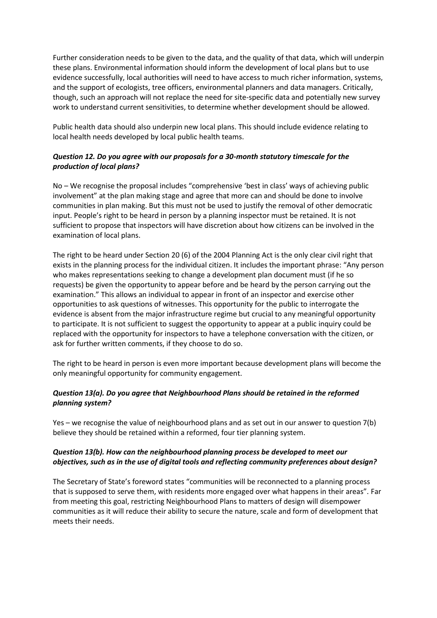Further consideration needs to be given to the data, and the quality of that data, which will underpin these plans. Environmental information should inform the development of local plans but to use evidence successfully, local authorities will need to have access to much richer information, systems, and the support of ecologists, tree officers, environmental planners and data managers. Critically, though, such an approach will not replace the need for site-specific data and potentially new survey work to understand current sensitivities, to determine whether development should be allowed.

Public health data should also underpin new local plans. This should include evidence relating to local health needs developed by local public health teams.

### *Question 12. Do you agree with our proposals for a 30-month statutory timescale for the production of local plans?*

No – We recognise the proposal includes "comprehensive 'best in class' ways of achieving public involvement" at the plan making stage and agree that more can and should be done to involve communities in plan making. But this must not be used to justify the removal of other democratic input. People's right to be heard in person by a planning inspector must be retained. It is not sufficient to propose that inspectors will have discretion about how citizens can be involved in the examination of local plans.

The right to be heard under Section 20 (6) of the 2004 Planning Act is the only clear civil right that exists in the planning process for the individual citizen. It includes the important phrase: "Any person who makes representations seeking to change a development plan document must (if he so requests) be given the opportunity to appear before and be heard by the person carrying out the examination." This allows an individual to appear in front of an inspector and exercise other opportunities to ask questions of witnesses. This opportunity for the public to interrogate the evidence is absent from the major infrastructure regime but crucial to any meaningful opportunity to participate. It is not sufficient to suggest the opportunity to appear at a public inquiry could be replaced with the opportunity for inspectors to have a telephone conversation with the citizen, or ask for further written comments, if they choose to do so.

The right to be heard in person is even more important because development plans will become the only meaningful opportunity for community engagement.

#### *Question 13(a). Do you agree that Neighbourhood Plans should be retained in the reformed planning system?*

Yes – we recognise the value of neighbourhood plans and as set out in our answer to question 7(b) believe they should be retained within a reformed, four tier planning system.

#### *Question 13(b). How can the neighbourhood planning process be developed to meet our objectives, such as in the use of digital tools and reflecting community preferences about design?*

The Secretary of State's foreword states "communities will be reconnected to a planning process that is supposed to serve them, with residents more engaged over what happens in their areas". Far from meeting this goal, restricting Neighbourhood Plans to matters of design will disempower communities as it will reduce their ability to secure the nature, scale and form of development that meets their needs.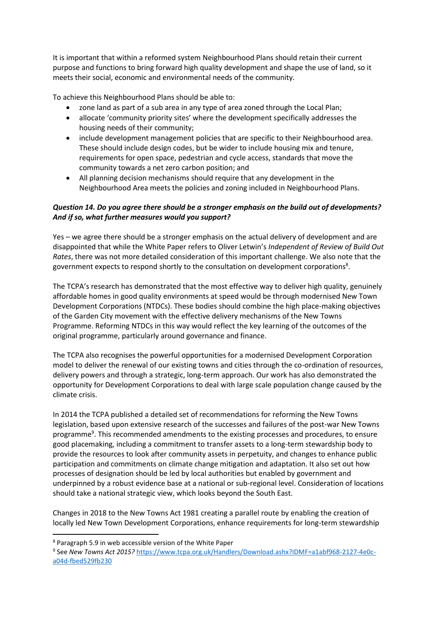It is important that within a reformed system Neighbourhood Plans should retain their current purpose and functions to bring forward high quality development and shape the use of land, so it meets their social, economic and environmental needs of the community.

To achieve this Neighbourhood Plans should be able to:

- zone land as part of a sub area in any type of area zoned through the Local Plan;
- allocate 'community priority sites' where the development specifically addresses the housing needs of their community;
- include development management policies that are specific to their Neighbourhood area. These should include design codes, but be wider to include housing mix and tenure, requirements for open space, pedestrian and cycle access, standards that move the community towards a net zero carbon position; and
- All planning decision mechanisms should require that any development in the Neighbourhood Area meets the policies and zoning included in Neighbourhood Plans.

### *Question 14. Do you agree there should be a stronger emphasis on the build out of developments? And if so, what further measures would you support?*

Yes – we agree there should be a stronger emphasis on the actual delivery of development and are disappointed that while the White Paper refers to Oliver Letwin's *Independent of Review of Build Out Rates*, there was not more detailed consideration of this important challenge. We also note that the government expects to respond shortly to the consultation on development corporations<sup>8</sup>.

The TCPA's research has demonstrated that the most effective way to deliver high quality, genuinely affordable homes in good quality environments at speed would be through modernised New Town Development Corporations (NTDCs). These bodies should combine the high place-making objectives of the Garden City movement with the effective delivery mechanisms of the New Towns Programme. Reforming NTDCs in this way would reflect the key learning of the outcomes of the original programme, particularly around governance and finance.

The TCPA also recognises the powerful opportunities for a modernised Development Corporation model to deliver the renewal of our existing towns and cities through the co-ordination of resources, delivery powers and through a strategic, long-term approach. Our work has also demonstrated the opportunity for Development Corporations to deal with large scale population change caused by the climate crisis.

In 2014 the TCPA published a detailed set of recommendations for reforming the New Towns legislation, based upon extensive research of the successes and failures of the post-war New Towns programme<sup>9</sup>. This recommended amendments to the existing processes and procedures, to ensure good placemaking, including a commitment to transfer assets to a long-term stewardship body to provide the resources to look after community assets in perpetuity, and changes to enhance public participation and commitments on climate change mitigation and adaptation. It also set out how processes of designation should be led by local authorities but enabled by government and underpinned by a robust evidence base at a national or sub-regional level. Consideration of locations should take a national strategic view, which looks beyond the South East.

Changes in 2018 to the New Towns Act 1981 creating a parallel route by enabling the creation of locally led New Town Development Corporations, enhance requirements for long-term stewardship

<sup>8</sup> Paragraph 5.9 in web accessible version of the White Paper

<sup>9</sup> See *New Towns Act 2015?* [https://www.tcpa.org.uk/Handlers/Download.ashx?IDMF=a1abf968-2127-4e0c](https://www.tcpa.org.uk/Handlers/Download.ashx?IDMF=a1abf968-2127-4e0c-a04d-fbed529fb230)[a04d-fbed529fb230](https://www.tcpa.org.uk/Handlers/Download.ashx?IDMF=a1abf968-2127-4e0c-a04d-fbed529fb230)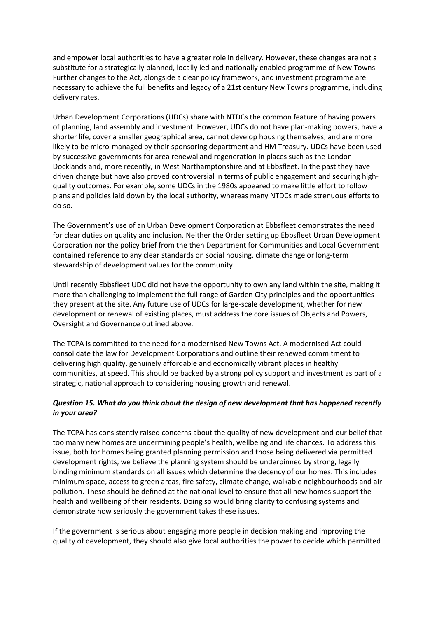and empower local authorities to have a greater role in delivery. However, these changes are not a substitute for a strategically planned, locally led and nationally enabled programme of New Towns. Further changes to the Act, alongside a clear policy framework, and investment programme are necessary to achieve the full benefits and legacy of a 21st century New Towns programme, including delivery rates.

Urban Development Corporations (UDCs) share with NTDCs the common feature of having powers of planning, land assembly and investment. However, UDCs do not have plan-making powers, have a shorter life, cover a smaller geographical area, cannot develop housing themselves, and are more likely to be micro-managed by their sponsoring department and HM Treasury. UDCs have been used by successive governments for area renewal and regeneration in places such as the London Docklands and, more recently, in West Northamptonshire and at Ebbsfleet. In the past they have driven change but have also proved controversial in terms of public engagement and securing highquality outcomes. For example, some UDCs in the 1980s appeared to make little effort to follow plans and policies laid down by the local authority, whereas many NTDCs made strenuous efforts to do so.

The Government's use of an Urban Development Corporation at Ebbsfleet demonstrates the need for clear duties on quality and inclusion. Neither the Order setting up Ebbsfleet Urban Development Corporation nor the policy brief from the then Department for Communities and Local Government contained reference to any clear standards on social housing, climate change or long-term stewardship of development values for the community.

Until recently Ebbsfleet UDC did not have the opportunity to own any land within the site, making it more than challenging to implement the full range of Garden City principles and the opportunities they present at the site. Any future use of UDCs for large-scale development, whether for new development or renewal of existing places, must address the core issues of Objects and Powers, Oversight and Governance outlined above.

The TCPA is committed to the need for a modernised New Towns Act. A modernised Act could consolidate the law for Development Corporations and outline their renewed commitment to delivering high quality, genuinely affordable and economically vibrant places in healthy communities, at speed. This should be backed by a strong policy support and investment as part of a strategic, national approach to considering housing growth and renewal.

### *Question 15. What do you think about the design of new development that has happened recently in your area?*

The TCPA has consistently raised concerns about the quality of new development and our belief that too many new homes are undermining people's health, wellbeing and life chances. To address this issue, both for homes being granted planning permission and those being delivered via permitted development rights, we believe the planning system should be underpinned by strong, legally binding minimum standards on all issues which determine the decency of our homes. This includes minimum space, access to green areas, fire safety, climate change, walkable neighbourhoods and air pollution. These should be defined at the national level to ensure that all new homes support the health and wellbeing of their residents. Doing so would bring clarity to confusing systems and demonstrate how seriously the government takes these issues.

If the government is serious about engaging more people in decision making and improving the quality of development, they should also give local authorities the power to decide which permitted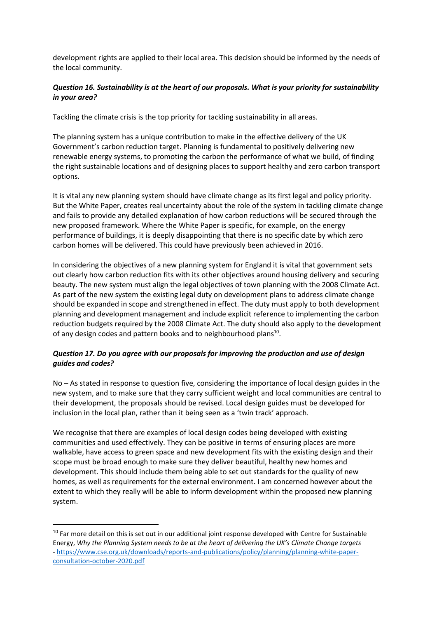development rights are applied to their local area. This decision should be informed by the needs of the local community.

### *Question 16. Sustainability is at the heart of our proposals. What is your priority for sustainability in your area?*

Tackling the climate crisis is the top priority for tackling sustainability in all areas.

The planning system has a unique contribution to make in the effective delivery of the UK Government's carbon reduction target. Planning is fundamental to positively delivering new renewable energy systems, to promoting the carbon the performance of what we build, of finding the right sustainable locations and of designing places to support healthy and zero carbon transport options.

It is vital any new planning system should have climate change as its first legal and policy priority. But the White Paper, creates real uncertainty about the role of the system in tackling climate change and fails to provide any detailed explanation of how carbon reductions will be secured through the new proposed framework. Where the White Paper is specific, for example, on the energy performance of buildings, it is deeply disappointing that there is no specific date by which zero carbon homes will be delivered. This could have previously been achieved in 2016.

In considering the objectives of a new planning system for England it is vital that government sets out clearly how carbon reduction fits with its other objectives around housing delivery and securing beauty. The new system must align the legal objectives of town planning with the 2008 Climate Act. As part of the new system the existing legal duty on development plans to address climate change should be expanded in scope and strengthened in effect. The duty must apply to both development planning and development management and include explicit reference to implementing the carbon reduction budgets required by the 2008 Climate Act. The duty should also apply to the development of any design codes and pattern books and to neighbourhood plans<sup>10</sup>.

#### *Question 17. Do you agree with our proposals for improving the production and use of design guides and codes?*

No – As stated in response to question five, considering the importance of local design guides in the new system, and to make sure that they carry sufficient weight and local communities are central to their development, the proposals should be revised. Local design guides must be developed for inclusion in the local plan, rather than it being seen as a 'twin track' approach.

We recognise that there are examples of local design codes being developed with existing communities and used effectively. They can be positive in terms of ensuring places are more walkable, have access to green space and new development fits with the existing design and their scope must be broad enough to make sure they deliver beautiful, healthy new homes and development. This should include them being able to set out standards for the quality of new homes, as well as requirements for the external environment. I am concerned however about the extent to which they really will be able to inform development within the proposed new planning system.

<sup>&</sup>lt;sup>10</sup> Far more detail on this is set out in our additional joint response developed with Centre for Sustainable Energy, *Why the Planning System needs to be at the heart of delivering the UK's Climate Change targets* - [https://www.cse.org.uk/downloads/reports-and-publications/policy/planning/planning-white-paper](https://www.cse.org.uk/downloads/reports-and-publications/policy/planning/planning-white-paper-consultation-october-2020.pdf)[consultation-october-2020.pdf](https://www.cse.org.uk/downloads/reports-and-publications/policy/planning/planning-white-paper-consultation-october-2020.pdf)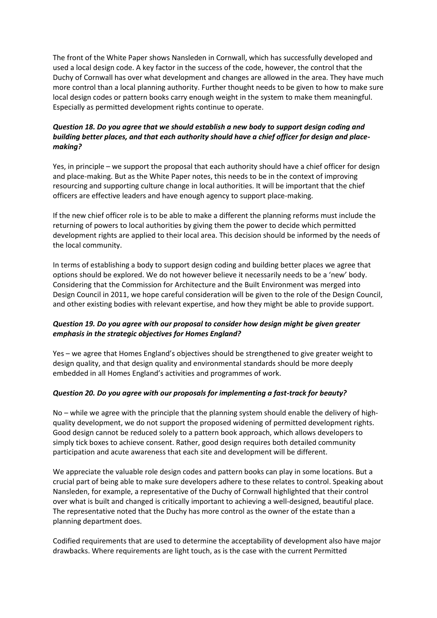The front of the White Paper shows Nansleden in Cornwall, which has successfully developed and used a local design code. A key factor in the success of the code, however, the control that the Duchy of Cornwall has over what development and changes are allowed in the area. They have much more control than a local planning authority. Further thought needs to be given to how to make sure local design codes or pattern books carry enough weight in the system to make them meaningful. Especially as permitted development rights continue to operate.

### *Question 18. Do you agree that we should establish a new body to support design coding and building better places, and that each authority should have a chief officer for design and placemaking?*

Yes, in principle – we support the proposal that each authority should have a chief officer for design and place-making. But as the White Paper notes, this needs to be in the context of improving resourcing and supporting culture change in local authorities. It will be important that the chief officers are effective leaders and have enough agency to support place-making.

If the new chief officer role is to be able to make a different the planning reforms must include the returning of powers to local authorities by giving them the power to decide which permitted development rights are applied to their local area. This decision should be informed by the needs of the local community.

In terms of establishing a body to support design coding and building better places we agree that options should be explored. We do not however believe it necessarily needs to be a 'new' body. Considering that the Commission for Architecture and the Built Environment was merged into Design Council in 2011, we hope careful consideration will be given to the role of the Design Council, and other existing bodies with relevant expertise, and how they might be able to provide support.

### *Question 19. Do you agree with our proposal to consider how design might be given greater emphasis in the strategic objectives for Homes England?*

Yes – we agree that Homes England's objectives should be strengthened to give greater weight to design quality, and that design quality and environmental standards should be more deeply embedded in all Homes England's activities and programmes of work.

#### *Question 20. Do you agree with our proposals for implementing a fast-track for beauty?*

No – while we agree with the principle that the planning system should enable the delivery of highquality development, we do not support the proposed widening of permitted development rights. Good design cannot be reduced solely to a pattern book approach, which allows developers to simply tick boxes to achieve consent. Rather, good design requires both detailed community participation and acute awareness that each site and development will be different.

We appreciate the valuable role design codes and pattern books can play in some locations. But a crucial part of being able to make sure developers adhere to these relates to control. Speaking about Nansleden, for example, a representative of the Duchy of Cornwall highlighted that their control over what is built and changed is critically important to achieving a well-designed, beautiful place. The representative noted that the Duchy has more control as the owner of the estate than a planning department does.

Codified requirements that are used to determine the acceptability of development also have major drawbacks. Where requirements are light touch, as is the case with the current Permitted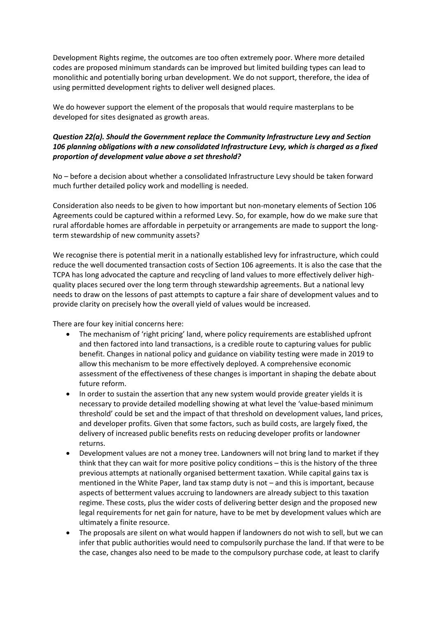Development Rights regime, the outcomes are too often extremely poor. Where more detailed codes are proposed minimum standards can be improved but limited building types can lead to monolithic and potentially boring urban development. We do not support, therefore, the idea of using permitted development rights to deliver well designed places.

We do however support the element of the proposals that would require masterplans to be developed for sites designated as growth areas.

#### *Question 22(a). Should the Government replace the Community Infrastructure Levy and Section 106 planning obligations with a new consolidated Infrastructure Levy, which is charged as a fixed proportion of development value above a set threshold?*

No – before a decision about whether a consolidated Infrastructure Levy should be taken forward much further detailed policy work and modelling is needed.

Consideration also needs to be given to how important but non-monetary elements of Section 106 Agreements could be captured within a reformed Levy. So, for example, how do we make sure that rural affordable homes are affordable in perpetuity or arrangements are made to support the longterm stewardship of new community assets?

We recognise there is potential merit in a nationally established levy for infrastructure, which could reduce the well documented transaction costs of Section 106 agreements. It is also the case that the TCPA has long advocated the capture and recycling of land values to more effectively deliver highquality places secured over the long term through stewardship agreements. But a national levy needs to draw on the lessons of past attempts to capture a fair share of development values and to provide clarity on precisely how the overall yield of values would be increased.

There are four key initial concerns here:

- The mechanism of 'right pricing' land, where policy requirements are established upfront and then factored into land transactions, is a credible route to capturing values for public benefit. Changes in national policy and guidance on viability testing were made in 2019 to allow this mechanism to be more effectively deployed. A comprehensive economic assessment of the effectiveness of these changes is important in shaping the debate about future reform.
- In order to sustain the assertion that any new system would provide greater yields it is necessary to provide detailed modelling showing at what level the 'value-based minimum threshold' could be set and the impact of that threshold on development values, land prices, and developer profits. Given that some factors, such as build costs, are largely fixed, the delivery of increased public benefits rests on reducing developer profits or landowner returns.
- Development values are not a money tree. Landowners will not bring land to market if they think that they can wait for more positive policy conditions – this is the history of the three previous attempts at nationally organised betterment taxation. While capital gains tax is mentioned in the White Paper, land tax stamp duty is not – and this is important, because aspects of betterment values accruing to landowners are already subject to this taxation regime. These costs, plus the wider costs of delivering better design and the proposed new legal requirements for net gain for nature, have to be met by development values which are ultimately a finite resource.
- The proposals are silent on what would happen if landowners do not wish to sell, but we can infer that public authorities would need to compulsorily purchase the land. If that were to be the case, changes also need to be made to the compulsory purchase code, at least to clarify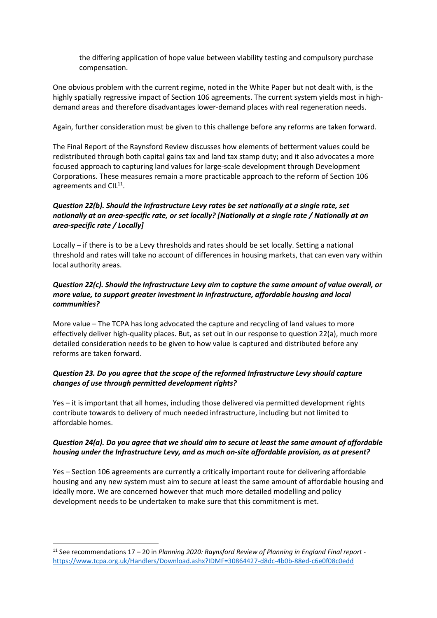the differing application of hope value between viability testing and compulsory purchase compensation.

One obvious problem with the current regime, noted in the White Paper but not dealt with, is the highly spatially regressive impact of Section 106 agreements. The current system yields most in highdemand areas and therefore disadvantages lower-demand places with real regeneration needs.

Again, further consideration must be given to this challenge before any reforms are taken forward.

The Final Report of the Raynsford Review discusses how elements of betterment values could be redistributed through both capital gains tax and land tax stamp duty; and it also advocates a more focused approach to capturing land values for large-scale development through Development Corporations. These measures remain a more practicable approach to the reform of Section 106 agreements and CIL<sup>11</sup>.

### *Question 22(b). Should the Infrastructure Levy rates be set nationally at a single rate, set nationally at an area-specific rate, or set locally? [Nationally at a single rate / Nationally at an area-specific rate / Locally]*

Locally – if there is to be a Levy thresholds and rates should be set locally. Setting a national threshold and rates will take no account of differences in housing markets, that can even vary within local authority areas.

#### *Question 22(c). Should the Infrastructure Levy aim to capture the same amount of value overall, or more value, to support greater investment in infrastructure, affordable housing and local communities?*

More value – The TCPA has long advocated the capture and recycling of land values to more effectively deliver high-quality places. But, as set out in our response to question 22(a), much more detailed consideration needs to be given to how value is captured and distributed before any reforms are taken forward.

#### *Question 23. Do you agree that the scope of the reformed Infrastructure Levy should capture changes of use through permitted development rights?*

Yes – it is important that all homes, including those delivered via permitted development rights contribute towards to delivery of much needed infrastructure, including but not limited to affordable homes.

#### *Question 24(a). Do you agree that we should aim to secure at least the same amount of affordable housing under the Infrastructure Levy, and as much on-site affordable provision, as at present?*

Yes – Section 106 agreements are currently a critically important route for delivering affordable housing and any new system must aim to secure at least the same amount of affordable housing and ideally more. We are concerned however that much more detailed modelling and policy development needs to be undertaken to make sure that this commitment is met.

<sup>11</sup> See recommendations 17 – 20 in *Planning 2020: Raynsford Review of Planning in England Final report* <https://www.tcpa.org.uk/Handlers/Download.ashx?IDMF=30864427-d8dc-4b0b-88ed-c6e0f08c0edd>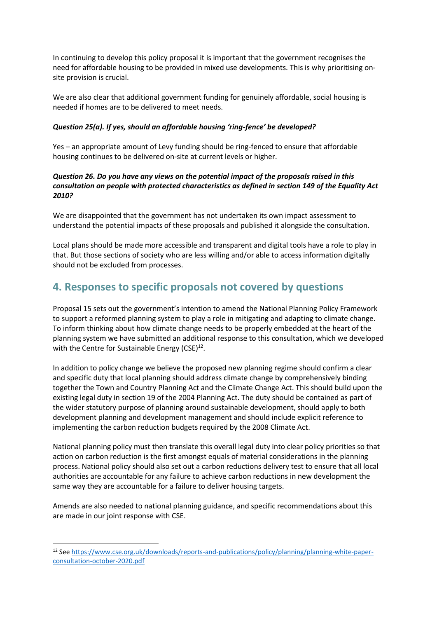In continuing to develop this policy proposal it is important that the government recognises the need for affordable housing to be provided in mixed use developments. This is why prioritising onsite provision is crucial.

We are also clear that additional government funding for genuinely affordable, social housing is needed if homes are to be delivered to meet needs.

### *Question 25(a). If yes, should an affordable housing 'ring-fence' be developed?*

Yes – an appropriate amount of Levy funding should be ring-fenced to ensure that affordable housing continues to be delivered on-site at current levels or higher.

#### *Question 26. Do you have any views on the potential impact of the proposals raised in this consultation on people with protected characteristics as defined in section 149 of the Equality Act 2010?*

We are disappointed that the government has not undertaken its own impact assessment to understand the potential impacts of these proposals and published it alongside the consultation.

Local plans should be made more accessible and transparent and digital tools have a role to play in that. But those sections of society who are less willing and/or able to access information digitally should not be excluded from processes.

## **4. Responses to specific proposals not covered by questions**

Proposal 15 sets out the government's intention to amend the National Planning Policy Framework to support a reformed planning system to play a role in mitigating and adapting to climate change. To inform thinking about how climate change needs to be properly embedded at the heart of the planning system we have submitted an additional response to this consultation, which we developed with the Centre for Sustainable Energy (CSE)<sup>12</sup>.

In addition to policy change we believe the proposed new planning regime should confirm a clear and specific duty that local planning should address climate change by comprehensively binding together the Town and Country Planning Act and the Climate Change Act. This should build upon the existing legal duty in section 19 of the 2004 Planning Act. The duty should be contained as part of the wider statutory purpose of planning around sustainable development, should apply to both development planning and development management and should include explicit reference to implementing the carbon reduction budgets required by the 2008 Climate Act.

National planning policy must then translate this overall legal duty into clear policy priorities so that action on carbon reduction is the first amongst equals of material considerations in the planning process. National policy should also set out a carbon reductions delivery test to ensure that all local authorities are accountable for any failure to achieve carbon reductions in new development the same way they are accountable for a failure to deliver housing targets.

Amends are also needed to national planning guidance, and specific recommendations about this are made in our joint response with CSE.

<sup>12</sup> Se[e https://www.cse.org.uk/downloads/reports-and-publications/policy/planning/planning-white-paper](https://www.cse.org.uk/downloads/reports-and-publications/policy/planning/planning-white-paper-consultation-october-2020.pdf)[consultation-october-2020.pdf](https://www.cse.org.uk/downloads/reports-and-publications/policy/planning/planning-white-paper-consultation-october-2020.pdf)